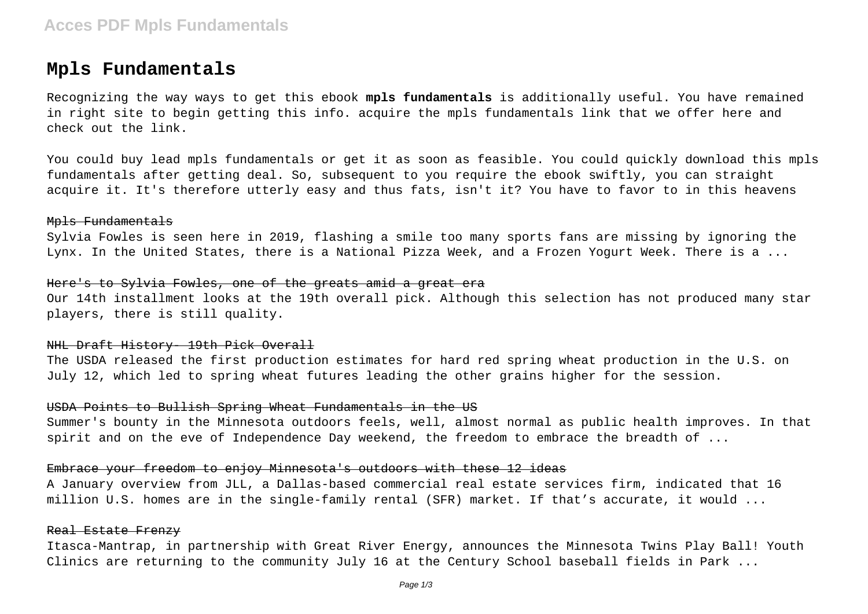# **Mpls Fundamentals**

Recognizing the way ways to get this ebook **mpls fundamentals** is additionally useful. You have remained in right site to begin getting this info. acquire the mpls fundamentals link that we offer here and check out the link.

You could buy lead mpls fundamentals or get it as soon as feasible. You could quickly download this mpls fundamentals after getting deal. So, subsequent to you require the ebook swiftly, you can straight acquire it. It's therefore utterly easy and thus fats, isn't it? You have to favor to in this heavens

#### Mpls Fundamentals

Sylvia Fowles is seen here in 2019, flashing a smile too many sports fans are missing by ignoring the Lynx. In the United States, there is a National Pizza Week, and a Frozen Yogurt Week. There is a ...

#### Here's to Sylvia Fowles, one of the greats amid a great era

Our 14th installment looks at the 19th overall pick. Although this selection has not produced many star players, there is still quality.

# NHL Draft History 19th Pick Overall

The USDA released the first production estimates for hard red spring wheat production in the U.S. on July 12, which led to spring wheat futures leading the other grains higher for the session.

## USDA Points to Bullish Spring Wheat Fundamentals in the US

Summer's bounty in the Minnesota outdoors feels, well, almost normal as public health improves. In that spirit and on the eve of Independence Day weekend, the freedom to embrace the breadth of ...

#### Embrace your freedom to enjoy Minnesota's outdoors with these 12 ideas

A January overview from JLL, a Dallas-based commercial real estate services firm, indicated that 16 million U.S. homes are in the single-family rental (SFR) market. If that's accurate, it would ...

#### Real Estate Frenzy

Itasca-Mantrap, in partnership with Great River Energy, announces the Minnesota Twins Play Ball! Youth Clinics are returning to the community July 16 at the Century School baseball fields in Park ...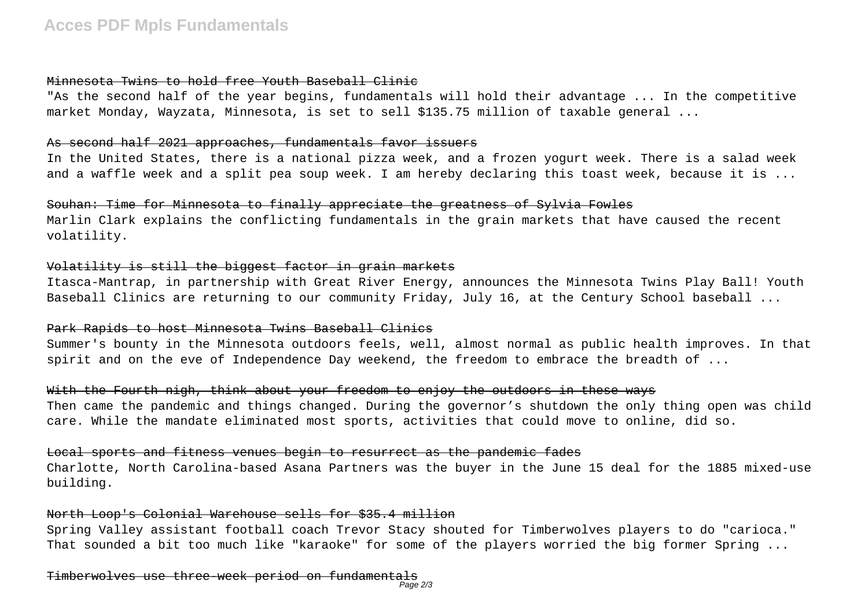#### Minnesota Twins to hold free Youth Baseball Clinic

"As the second half of the year begins, fundamentals will hold their advantage ... In the competitive market Monday, Wayzata, Minnesota, is set to sell \$135.75 million of taxable general ...

# As second half 2021 approaches, fundamentals favor issuers

In the United States, there is a national pizza week, and a frozen yogurt week. There is a salad week and a waffle week and a split pea soup week. I am hereby declaring this toast week, because it is ...

## Souhan: Time for Minnesota to finally appreciate the greatness of Sylvia Fowles

Marlin Clark explains the conflicting fundamentals in the grain markets that have caused the recent volatility.

# Volatility is still the biggest factor in grain markets

Itasca-Mantrap, in partnership with Great River Energy, announces the Minnesota Twins Play Ball! Youth Baseball Clinics are returning to our community Friday, July 16, at the Century School baseball ...

# Park Rapids to host Minnesota Twins Baseball Clinics

Summer's bounty in the Minnesota outdoors feels, well, almost normal as public health improves. In that spirit and on the eve of Independence Day weekend, the freedom to embrace the breadth of ...

# With the Fourth nigh, think about your freedom to enjoy the outdoors in these ways

Then came the pandemic and things changed. During the governor's shutdown the only thing open was child care. While the mandate eliminated most sports, activities that could move to online, did so.

# Local sports and fitness venues begin to resurrect as the pandemic fades

Charlotte, North Carolina-based Asana Partners was the buyer in the June 15 deal for the 1885 mixed-use building.

## North Loop's Colonial Warehouse sells for \$35.4 million

Spring Valley assistant football coach Trevor Stacy shouted for Timberwolves players to do "carioca." That sounded a bit too much like "karaoke" for some of the players worried the big former Spring ...